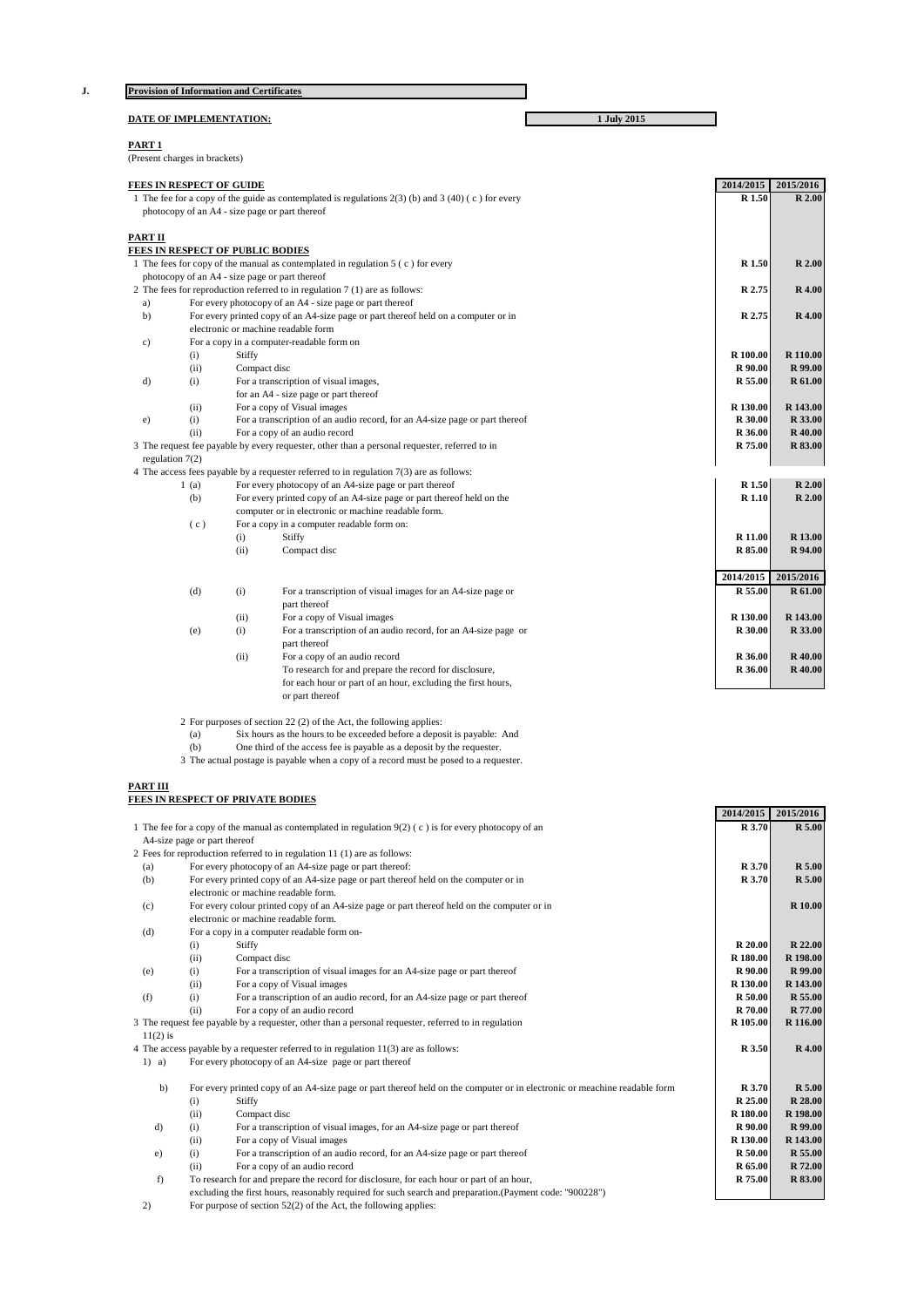|                                                |                                                                                               | <b>Provision of Information and Certificates</b>                                                      |             |           |                |
|------------------------------------------------|-----------------------------------------------------------------------------------------------|-------------------------------------------------------------------------------------------------------|-------------|-----------|----------------|
|                                                |                                                                                               | DATE OF IMPLEMENTATION:                                                                               | 1 July 2015 |           |                |
| PART <sub>1</sub>                              |                                                                                               |                                                                                                       |             |           |                |
|                                                | (Present charges in brackets)                                                                 |                                                                                                       |             |           |                |
|                                                | <b>FEES IN RESPECT OF GUIDE</b>                                                               |                                                                                                       |             | 2014/2015 | 2015/2016      |
|                                                |                                                                                               | 1 The fee for a copy of the guide as contemplated is regulations $2(3)$ (b) and $3(40)$ (c) for every |             | R 1.50    | R 2.00         |
| photocopy of an A4 - size page or part thereof |                                                                                               |                                                                                                       |             |           |                |
| PART II                                        |                                                                                               |                                                                                                       |             |           |                |
|                                                |                                                                                               | FEES IN RESPECT OF PUBLIC BODIES                                                                      |             |           |                |
|                                                |                                                                                               | 1 The fees for copy of the manual as contemplated in regulation $5(c)$ for every                      |             | R 1.50    | R 2.00         |
|                                                |                                                                                               | photocopy of an A4 - size page or part thereof                                                        |             |           |                |
|                                                |                                                                                               | 2 The fees for reproduction referred to in regulation 7 (1) are as follows:                           |             | R 2.75    | <b>R</b> 4.00  |
| a)                                             |                                                                                               | For every photocopy of an A4 - size page or part thereof                                              |             |           |                |
| b)                                             |                                                                                               | For every printed copy of an A4-size page or part thereof held on a computer or in                    |             | R 2.75    | <b>R</b> 4.00  |
|                                                |                                                                                               | electronic or machine readable form                                                                   |             |           |                |
| $\circ$ )                                      |                                                                                               | For a copy in a computer-readable form on                                                             |             |           |                |
|                                                | (i)                                                                                           | Stiffy                                                                                                |             | R 100.00  | R 110.00       |
|                                                | (ii)                                                                                          | Compact disc                                                                                          |             | R 90.00   | R 99.00        |
| d)                                             | (i)                                                                                           | For a transcription of visual images,                                                                 |             | R 55.00   | R 61.00        |
|                                                |                                                                                               | for an A4 - size page or part thereof                                                                 |             |           |                |
|                                                | (ii)                                                                                          | For a copy of Visual images                                                                           |             | R 130.00  | R 143.00       |
| e)                                             | (i)                                                                                           | For a transcription of an audio record, for an A4-size page or part thereof                           |             | R 30.00   | R 33.00        |
|                                                | (i)                                                                                           | For a copy of an audio record                                                                         |             | R 36.00   | <b>R</b> 40.00 |
|                                                | 3 The request fee payable by every requester, other than a personal requester, referred to in |                                                                                                       |             | R 75.00   | R 83.00        |
|                                                | regulation $7(2)$                                                                             |                                                                                                       |             |           |                |
|                                                |                                                                                               | 4 The access fees payable by a requester referred to in regulation $7(3)$ are as follows:             |             |           |                |
|                                                | 1(a)                                                                                          | For every photocopy of an A4-size page or part thereof                                                |             | R 1.50    | R 2.00         |
|                                                | (b)                                                                                           | For every printed copy of an A4-size page or part thereof held on the                                 |             | R 1.10    | R 2.00         |
|                                                |                                                                                               | computer or in electronic or machine readable form.                                                   |             |           |                |
|                                                | (c)                                                                                           | For a copy in a computer readable form on:                                                            |             |           |                |
|                                                |                                                                                               | Stiffy<br>(i)                                                                                         |             | R 11.00   | R 13.00        |
|                                                |                                                                                               | (ii)<br>Compact disc                                                                                  |             | R 85.00   | R 94.00        |

**2014/2015 2015/2016**

- (d) (i) For a transcription of visual images for an A4-size page or **R 55.00 R 61.00** part thereof (ii) For a copy of Visual images **R 130.00 R 143.00 R 143.00** (e) (i) For a transcription of an audio record, for an A4-size page or **R** 30.00 **R** 33.00 part thereof (ii) For a copy of an audio record<br>
To research for and prepare the record for disclosure,<br> **R 36.00 R 40.00 R 40.00 R 40.00** To research for and prepare the record for disclosure,
- for each hour or part of an hour, excluding the first hours, or part thereof 2 For purposes of section 22 (2) of the Act, the following applies:
	- (a) Six hours as the hours to be exceeded before a deposit is payable: And
- (b) One third of the access fee is payable as a deposit by the requester.
- 3 The actual postage is payable when a copy of a record must be posed to a requester.

## **PART III**

## **FEES IN RESPECT OF PRIVATE BODIES**

|                                                                                                          |                                                                                                                                     | 2014/2015        |                  |
|----------------------------------------------------------------------------------------------------------|-------------------------------------------------------------------------------------------------------------------------------------|------------------|------------------|
|                                                                                                          |                                                                                                                                     |                  | 2015/2016        |
| 1 The fee for a copy of the manual as contemplated in regulation $9(2)$ (c) is for every photocopy of an |                                                                                                                                     |                  | R 3.70<br>R 5.00 |
| A4-size page or part thereof                                                                             |                                                                                                                                     |                  |                  |
| 2 Fees for reproduction referred to in regulation 11 (1) are as follows:                                 |                                                                                                                                     |                  |                  |
| (a)                                                                                                      | For every photocopy of an A4-size page or part thereof:                                                                             | R 3.70<br>R 3.70 | R 5.00           |
| (b)                                                                                                      | For every printed copy of an A4-size page or part thereof held on the computer or in<br>electronic or machine readable form.        |                  | <b>R</b> 5.00    |
|                                                                                                          |                                                                                                                                     |                  |                  |
| (c)                                                                                                      | For every colour printed copy of an A4-size page or part thereof held on the computer or in<br>electronic or machine readable form. |                  | <b>R</b> 10.00   |
|                                                                                                          |                                                                                                                                     |                  |                  |
| (d)                                                                                                      | For a copy in a computer readable form on-                                                                                          |                  |                  |
|                                                                                                          | (i)<br>Stiffy                                                                                                                       | R 20.00          | R 22.00          |
|                                                                                                          | Compact disc<br>(ii)                                                                                                                | R 180.00         | R 198.00         |
| (e)                                                                                                      | (i)<br>For a transcription of visual images for an A4-size page or part thereof                                                     | R 90.00          | <b>R</b> 99.00   |
|                                                                                                          | For a copy of Visual images<br>(ii)                                                                                                 | R 130.00         | R 143.00         |
| (f)                                                                                                      | For a transcription of an audio record, for an A4-size page or part thereof<br>(i)                                                  | R 50.00          | R 55.00          |
|                                                                                                          | For a copy of an audio record<br>(i)                                                                                                | <b>R</b> 70.00   | R 77.00          |
|                                                                                                          | 3 The request fee payable by a requester, other than a personal requester, referred to in regulation                                | R 105.00         | R 116.00         |
| $11(2)$ is                                                                                               |                                                                                                                                     |                  |                  |
|                                                                                                          | 4 The access payable by a requester referred to in regulation $11(3)$ are as follows:                                               | R 3.50           | <b>R</b> 4.00    |
| 1) a)                                                                                                    | For every photocopy of an A4-size page or part thereof                                                                              |                  |                  |
|                                                                                                          |                                                                                                                                     |                  |                  |
| b)                                                                                                       | For every printed copy of an A4-size page or part thereof held on the computer or in electronic or meachine readable form           |                  | R 3.70<br>R 5.00 |
|                                                                                                          | Stiffy<br>(i)                                                                                                                       | R 25.00          | R 28.00          |
|                                                                                                          | (ii)<br>Compact disc                                                                                                                | R 180.00         | R 198.00         |
| d)                                                                                                       | For a transcription of visual images, for an A4-size page or part thereof<br>(i)                                                    | R 90.00          | R 99.00          |
|                                                                                                          | (ii)<br>For a copy of Visual images                                                                                                 | R 130.00         | R 143.00         |
| e)                                                                                                       | (i)<br>For a transcription of an audio record, for an A4-size page or part thereof                                                  | R 50.00          | R 55.00          |
|                                                                                                          | For a copy of an audio record<br>(i)                                                                                                | R 65.00          | R 72.00          |
| f)                                                                                                       | To research for and prepare the record for disclosure, for each hour or part of an hour,                                            | R 75.00          | R 83.00          |
|                                                                                                          | excluding the first hours, reasonably required for such search and preparation.(Payment code: "900228")                             |                  |                  |

ding the first hours, reasonably required for such search and preparation.(Payment code: "900228") 2) For purpose of section 52(2) of the Act, the following applies: